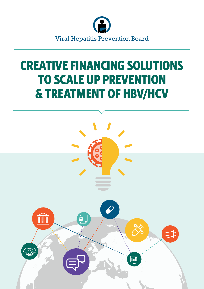

# **CREATIVE FINANCING SOLUTIONS TO SCALE UP PREVENTION & TREATMENT OF HBV/HCV**

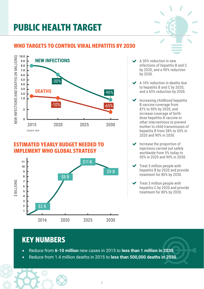## **PUBLIC HEALTH TARGET**

#### **WHO TARGETS TO CONTROL VIRAL HEPATITIS BY 2030**



#### **ESTIMATED YEARLY BUDGET NEEDED TO IMPLEMENT WHO GLOBAL STRATEGY**



- A 30% reduction in new infections of hepatitis B and C by 2020, and a 90% reduction by 2030.  $\checkmark$
- A 10% reduction in deaths due to hepatitis B and C by 2020, and a 65% reduction by 2030.  $\checkmark$
- Increasing childhood hepatitis B vaccine coverage from 81% to 90% by 2020, and increase coverage of birthdose hepatitis B vaccine or other interventions to prevent mother to child transmission of hepatitis B from 38% to 50% in 2020 and 90% in 2030.  $\checkmark$
- Increase the proportion of injections carried out safely worldwide from 5% today to 50% in 2020 and 90% in 2030.  $\checkmark$
- Treat 5 million people with hepatitis B by 2020 and provide treatment for 80% by 2030.  $\checkmark$
- Treat 3 million people with hepatitis C by 2020 and provide treatment for 80% by 2030.  $\checkmark$

### **KEY NUMBERS**

- Reduce from **6-10 million** new cases in 2015 to **less than 1 million in 2030**.
- Reduce from 1.4 million deaths in 2015 to **less than 500,000 deaths in 2030**.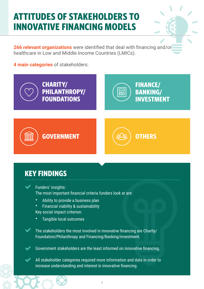### **ATTITUDES OF STAKEHOLDERS TO INNOVATIVE FINANCING MODELS**

**266 relevant organizations** were identified that deal with financing and/or healthcare in Low and Middle Income Countries (LMICs).

**4 main categories** of stakeholders:



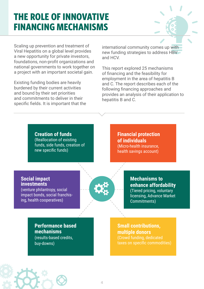### **THE ROLE OF INNOVATIVE FINANCING MECHANISMS**

Scaling up prevention and treatment of Viral Hepatitis on a global level provides a new opportunity for private investors, foundations, non-profit organizations and national governments to work together on a project with an important societal gain.

Existing funding bodies are heavily burdened by their current activities and bound by their set priorities and commitments to deliver in their specific fields. It is important that the international community comes up with new funding strategies to address HBV and HCV.

This report explored 25 mechanisms of financing and the feasibility for employment in the area of hepatitis B and C. The report describes each of the following financing approaches and provides an analysis of their application to hepatitis B and C.

**Creation of funds** (Reallocation of existing funds, side funds, creation of new specific funds)

**Financial protection of individuals** (Micro-health insurance, health savings account)

#### **Social impact investments**

(venture philantropy, social impact bonds, social franchising, health cooperatives)



**Mechanisms to enhance affordability** (Tiered pricing, voluntary licensing, Advance Market Commitments)

**Performance based mechanisms** (results-based credits, buy-downs)

**Small contributions, multiple donors** (Crowd funding, dedicated taxes on specific commodities)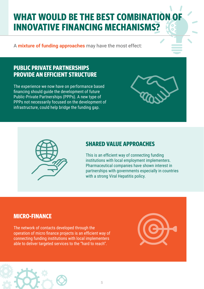## **WHAT WOULD BE THE BEST COMBINATION OF INNOVATIVE FINANCING MECHANISMS?**

A **mixture of funding approaches** may have the most effect:

#### **PUBLIC PRIVATE PARTNERSHIPS PROVIDE AN EFFICIENT STRUCTURE**

The experience we now have on performance based financing should guide the development of future Public-Private Partnerships (PPPs). A new type of PPPs not necessarily focused on the development of infrastructure, could help bridge the funding gap.





#### **SHARED VALUE APPROACHES**

This is an efficient way of connecting funding institutions with local employment implementers. Pharmaceutical companies have shown interest in partnerships with governments especially in countries with a strong Viral Hepatitis policy.

#### **MICRO-FINANCE**

The network of contacts developed through the operation of micro finance projects is an efficient way of connecting funding institutions with local implementers able to deliver targeted services to the "hard to reach".